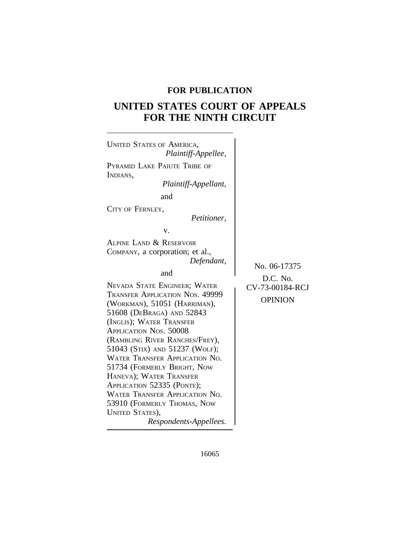# **FOR PUBLICATION**

# **UNITED STATES COURT OF APPEALS FOR THE NINTH CIRCUIT**



16065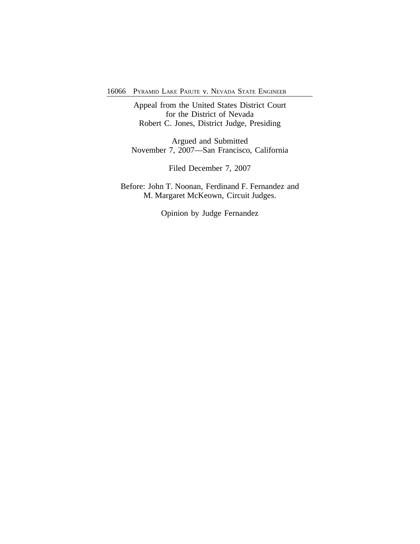16066 PYRAMID LAKE PAIUTE v. NEVADA STATE ENGINEER

Appeal from the United States District Court for the District of Nevada Robert C. Jones, District Judge, Presiding

Argued and Submitted November 7, 2007—San Francisco, California

Filed December 7, 2007

Before: John T. Noonan, Ferdinand F. Fernandez and M. Margaret McKeown, Circuit Judges.

Opinion by Judge Fernandez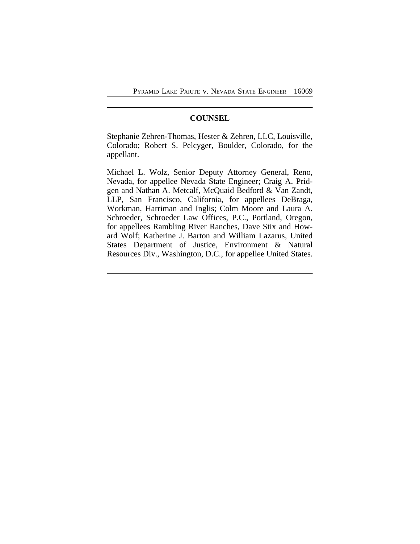# **COUNSEL**

Stephanie Zehren-Thomas, Hester & Zehren, LLC, Louisville, Colorado; Robert S. Pelcyger, Boulder, Colorado, for the appellant.

Michael L. Wolz, Senior Deputy Attorney General, Reno, Nevada, for appellee Nevada State Engineer; Craig A. Pridgen and Nathan A. Metcalf, McQuaid Bedford & Van Zandt, LLP, San Francisco, California, for appellees DeBraga, Workman, Harriman and Inglis; Colm Moore and Laura A. Schroeder, Schroeder Law Offices, P.C., Portland, Oregon, for appellees Rambling River Ranches, Dave Stix and Howard Wolf; Katherine J. Barton and William Lazarus, United States Department of Justice, Environment & Natural Resources Div., Washington, D.C., for appellee United States.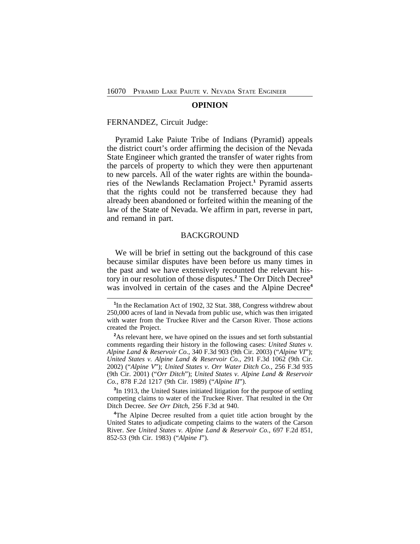#### **OPINION**

### FERNANDEZ, Circuit Judge:

Pyramid Lake Paiute Tribe of Indians (Pyramid) appeals the district court's order affirming the decision of the Nevada State Engineer which granted the transfer of water rights from the parcels of property to which they were then appurtenant to new parcels. All of the water rights are within the boundaries of the Newlands Reclamation Project.**<sup>1</sup>** Pyramid asserts that the rights could not be transferred because they had already been abandoned or forfeited within the meaning of the law of the State of Nevada. We affirm in part, reverse in part, and remand in part.

### BACKGROUND

We will be brief in setting out the background of this case because similar disputes have been before us many times in the past and we have extensively recounted the relevant history in our resolution of those disputes.**<sup>2</sup>** The Orr Ditch Decree**<sup>3</sup>** was involved in certain of the cases and the Alpine Decree<sup>4</sup>

**3** In 1913, the United States initiated litigation for the purpose of settling competing claims to water of the Truckee River. That resulted in the Orr Ditch Decree. *See Orr Ditch*, 256 F.3d at 940.

**<sup>4</sup>**The Alpine Decree resulted from a quiet title action brought by the United States to adjudicate competing claims to the waters of the Carson River. *See United States v. Alpine Land & Reservoir Co.*, 697 F.2d 851, 852-53 (9th Cir. 1983) ("*Alpine I*").

<sup>&</sup>lt;sup>1</sup>In the Reclamation Act of 1902, 32 Stat. 388, Congress withdrew about 250,000 acres of land in Nevada from public use, which was then irrigated with water from the Truckee River and the Carson River. Those actions created the Project.

**<sup>2</sup>**As relevant here, we have opined on the issues and set forth substantial comments regarding their history in the following cases: *United States v. Alpine Land & Reservoir Co.*, 340 F.3d 903 (9th Cir. 2003) ("*Alpine VI*"); *United States v. Alpine Land & Reservoir Co.*, 291 F.3d 1062 (9th Cir. 2002) ("*Alpine V*"); *United States v. Orr Water Ditch Co.*, 256 F.3d 935 (9th Cir. 2001) ("*Orr Ditch*"); *United States v. Alpine Land & Reservoir Co.*, 878 F.2d 1217 (9th Cir. 1989) ("*Alpine II*").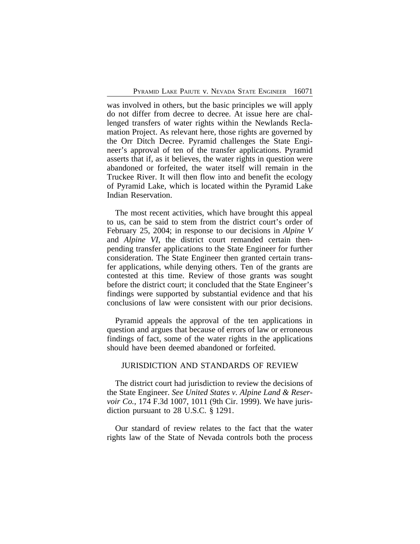was involved in others, but the basic principles we will apply do not differ from decree to decree. At issue here are challenged transfers of water rights within the Newlands Reclamation Project. As relevant here, those rights are governed by the Orr Ditch Decree. Pyramid challenges the State Engineer's approval of ten of the transfer applications. Pyramid asserts that if, as it believes, the water rights in question were abandoned or forfeited, the water itself will remain in the Truckee River. It will then flow into and benefit the ecology of Pyramid Lake, which is located within the Pyramid Lake Indian Reservation.

The most recent activities, which have brought this appeal to us, can be said to stem from the district court's order of February 25, 2004; in response to our decisions in *Alpine V* and *Alpine VI*, the district court remanded certain thenpending transfer applications to the State Engineer for further consideration. The State Engineer then granted certain transfer applications, while denying others. Ten of the grants are contested at this time. Review of those grants was sought before the district court; it concluded that the State Engineer's findings were supported by substantial evidence and that his conclusions of law were consistent with our prior decisions.

Pyramid appeals the approval of the ten applications in question and argues that because of errors of law or erroneous findings of fact, some of the water rights in the applications should have been deemed abandoned or forfeited.

# JURISDICTION AND STANDARDS OF REVIEW

The district court had jurisdiction to review the decisions of the State Engineer. *See United States v. Alpine Land & Reservoir Co.*, 174 F.3d 1007, 1011 (9th Cir. 1999). We have jurisdiction pursuant to 28 U.S.C. § 1291.

Our standard of review relates to the fact that the water rights law of the State of Nevada controls both the process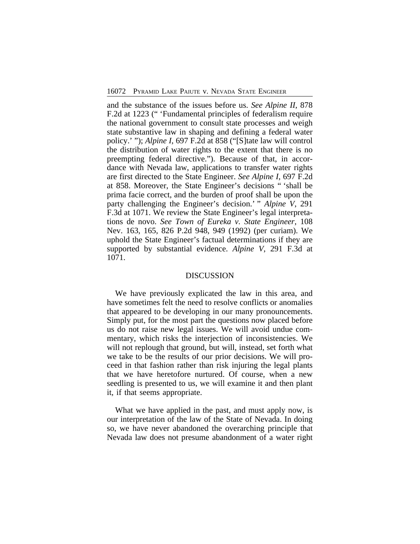and the substance of the issues before us. *See Alpine II*, 878 F.2d at 1223 (" 'Fundamental principles of federalism require the national government to consult state processes and weigh state substantive law in shaping and defining a federal water policy.' "); *Alpine I*, 697 F.2d at 858 ("[S]tate law will control the distribution of water rights to the extent that there is no preempting federal directive."). Because of that, in accordance with Nevada law, applications to transfer water rights are first directed to the State Engineer. *See Alpine I*, 697 F.2d at 858. Moreover, the State Engineer's decisions " 'shall be prima facie correct, and the burden of proof shall be upon the party challenging the Engineer's decision.' " *Alpine V*, 291 F.3d at 1071. We review the State Engineer's legal interpretations de novo. *See Town of Eureka v. State Engineer*, 108 Nev. 163, 165, 826 P.2d 948, 949 (1992) (per curiam). We uphold the State Engineer's factual determinations if they are supported by substantial evidence. *Alpine V*, 291 F.3d at 1071.

### DISCUSSION

We have previously explicated the law in this area, and have sometimes felt the need to resolve conflicts or anomalies that appeared to be developing in our many pronouncements. Simply put, for the most part the questions now placed before us do not raise new legal issues. We will avoid undue commentary, which risks the interjection of inconsistencies. We will not replough that ground, but will, instead, set forth what we take to be the results of our prior decisions. We will proceed in that fashion rather than risk injuring the legal plants that we have heretofore nurtured. Of course, when a new seedling is presented to us, we will examine it and then plant it, if that seems appropriate.

What we have applied in the past, and must apply now, is our interpretation of the law of the State of Nevada. In doing so, we have never abandoned the overarching principle that Nevada law does not presume abandonment of a water right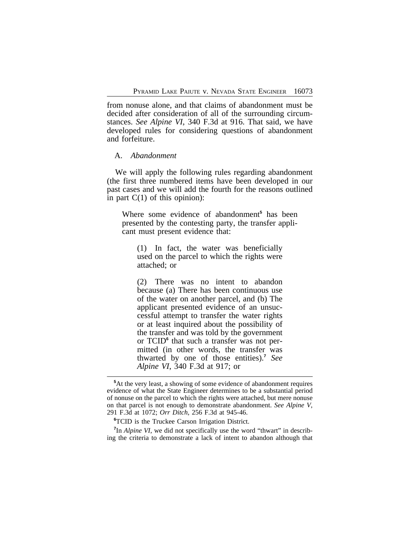from nonuse alone, and that claims of abandonment must be decided after consideration of all of the surrounding circumstances. *See Alpine VI*, 340 F.3d at 916. That said, we have developed rules for considering questions of abandonment and forfeiture.

### A. *Abandonment*

We will apply the following rules regarding abandonment (the first three numbered items have been developed in our past cases and we will add the fourth for the reasons outlined in part  $C(1)$  of this opinion):

Where some evidence of abandonment<sup>5</sup> has been presented by the contesting party, the transfer applicant must present evidence that:

(1) In fact, the water was beneficially used on the parcel to which the rights were attached; or

(2) There was no intent to abandon because (a) There has been continuous use of the water on another parcel, and (b) The applicant presented evidence of an unsuccessful attempt to transfer the water rights or at least inquired about the possibility of the transfer and was told by the government or TCID<sup>6</sup> that such a transfer was not permitted (in other words, the transfer was thwarted by one of those entities).**<sup>7</sup>** *See Alpine VI*, 340 F.3d at 917; or

<sup>7</sup>In *Alpine VI*, we did not specifically use the word "thwart" in describing the criteria to demonstrate a lack of intent to abandon although that

**<sup>5</sup>**At the very least, a showing of some evidence of abandonment requires evidence of what the State Engineer determines to be a substantial period of nonuse on the parcel to which the rights were attached, but mere nonuse on that parcel is not enough to demonstrate abandonment. *See Alpine V*, 291 F.3d at 1072; *Orr Ditch*, 256 F.3d at 945-46.

**<sup>6</sup>**TCID is the Truckee Carson Irrigation District.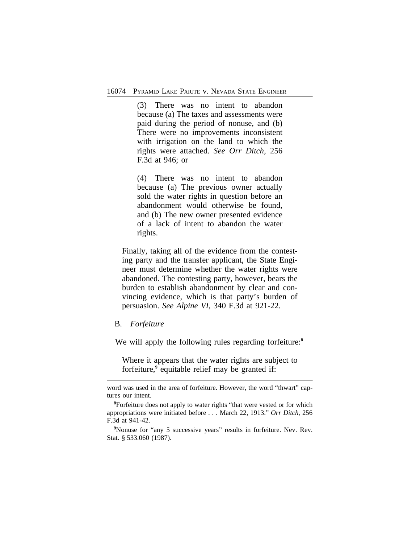(3) There was no intent to abandon because (a) The taxes and assessments were paid during the period of nonuse, and (b) There were no improvements inconsistent with irrigation on the land to which the rights were attached. *See Orr Ditch*, 256 F.3d at 946; or

(4) There was no intent to abandon because (a) The previous owner actually sold the water rights in question before an abandonment would otherwise be found, and (b) The new owner presented evidence of a lack of intent to abandon the water rights.

Finally, taking all of the evidence from the contesting party and the transfer applicant, the State Engineer must determine whether the water rights were abandoned. The contesting party, however, bears the burden to establish abandonment by clear and convincing evidence, which is that party's burden of persuasion. *See Alpine VI*, 340 F.3d at 921-22.

## B. *Forfeiture*

We will apply the following rules regarding forfeiture:**<sup>8</sup>**

Where it appears that the water rights are subject to forfeiture,<sup>9</sup> equitable relief may be granted if:

word was used in the area of forfeiture. However, the word "thwart" captures our intent.

<sup>&</sup>lt;sup>8</sup>Forfeiture does not apply to water rights "that were vested or for which appropriations were initiated before . . . March 22, 1913." *Orr Ditch*, 256 F.3d at 941-42.

<sup>&</sup>lt;sup>9</sup>Nonuse for "any 5 successive years" results in forfeiture. Nev. Rev. Stat. § 533.060 (1987).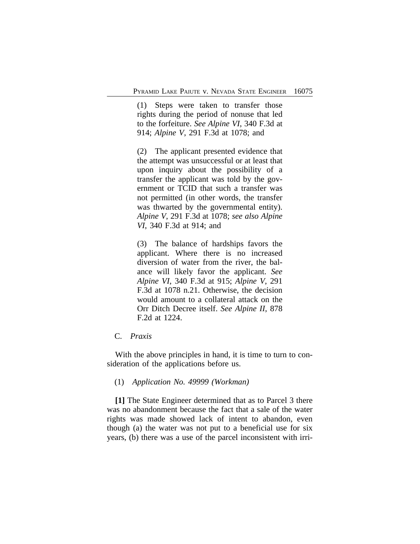(1) Steps were taken to transfer those rights during the period of nonuse that led to the forfeiture. *See Alpine VI*, 340 F.3d at 914; *Alpine V*, 291 F.3d at 1078; and

(2) The applicant presented evidence that the attempt was unsuccessful or at least that upon inquiry about the possibility of a transfer the applicant was told by the government or TCID that such a transfer was not permitted (in other words, the transfer was thwarted by the governmental entity). *Alpine V*, 291 F.3d at 1078; *see also Alpine VI*, 340 F.3d at 914; and

(3) The balance of hardships favors the applicant. Where there is no increased diversion of water from the river, the balance will likely favor the applicant. *See Alpine VI*, 340 F.3d at 915; *Alpine V*, 291 F.3d at 1078 n.21. Otherwise, the decision would amount to a collateral attack on the Orr Ditch Decree itself. *See Alpine II*, 878 F.2d at 1224.

# C. *Praxis*

With the above principles in hand, it is time to turn to consideration of the applications before us.

# (1) *Application No. 49999 (Workman)*

**[1]** The State Engineer determined that as to Parcel 3 there was no abandonment because the fact that a sale of the water rights was made showed lack of intent to abandon, even though (a) the water was not put to a beneficial use for six years, (b) there was a use of the parcel inconsistent with irri-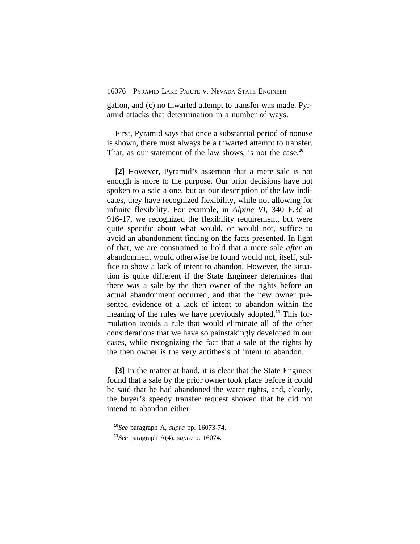gation, and (c) no thwarted attempt to transfer was made. Pyramid attacks that determination in a number of ways.

First, Pyramid says that once a substantial period of nonuse is shown, there must always be a thwarted attempt to transfer. That, as our statement of the law shows, is not the case.**<sup>10</sup>**

**[2]** However, Pyramid's assertion that a mere sale is not enough is more to the purpose. Our prior decisions have not spoken to a sale alone, but as our description of the law indicates, they have recognized flexibility, while not allowing for infinite flexibility. For example, in *Alpine VI*, 340 F.3d at 916-17, we recognized the flexibility requirement, but were quite specific about what would, or would not, suffice to avoid an abandonment finding on the facts presented. In light of that, we are constrained to hold that a mere sale *after* an abandonment would otherwise be found would not, itself, suffice to show a lack of intent to abandon. However, the situation is quite different if the State Engineer determines that there was a sale by the then owner of the rights before an actual abandonment occurred, and that the new owner presented evidence of a lack of intent to abandon within the meaning of the rules we have previously adopted.**11** This formulation avoids a rule that would eliminate all of the other considerations that we have so painstakingly developed in our cases, while recognizing the fact that a sale of the rights by the then owner is the very antithesis of intent to abandon.

**[3]** In the matter at hand, it is clear that the State Engineer found that a sale by the prior owner took place before it could be said that he had abandoned the water rights, and, clearly, the buyer's speedy transfer request showed that he did not intend to abandon either.

**<sup>10</sup>***See* paragraph A, *supra* pp. 16073-74.

**<sup>11</sup>***See* paragraph A(4), *supra* p. 16074.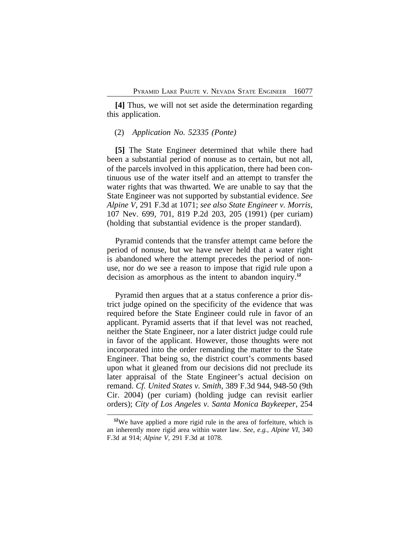**[4]** Thus, we will not set aside the determination regarding this application.

### (2) *Application No. 52335 (Ponte)*

**[5]** The State Engineer determined that while there had been a substantial period of nonuse as to certain, but not all, of the parcels involved in this application, there had been continuous use of the water itself and an attempt to transfer the water rights that was thwarted. We are unable to say that the State Engineer was not supported by substantial evidence. *See Alpine V*, 291 F.3d at 1071; *see also State Engineer v. Morris*, 107 Nev. 699, 701, 819 P.2d 203, 205 (1991) (per curiam) (holding that substantial evidence is the proper standard).

Pyramid contends that the transfer attempt came before the period of nonuse, but we have never held that a water right is abandoned where the attempt precedes the period of nonuse, nor do we see a reason to impose that rigid rule upon a decision as amorphous as the intent to abandon inquiry.**<sup>12</sup>**

Pyramid then argues that at a status conference a prior district judge opined on the specificity of the evidence that was required before the State Engineer could rule in favor of an applicant. Pyramid asserts that if that level was not reached, neither the State Engineer, nor a later district judge could rule in favor of the applicant. However, those thoughts were not incorporated into the order remanding the matter to the State Engineer. That being so, the district court's comments based upon what it gleaned from our decisions did not preclude its later appraisal of the State Engineer's actual decision on remand. *Cf. United States v. Smith*, 389 F.3d 944, 948-50 (9th Cir. 2004) (per curiam) (holding judge can revisit earlier orders); *City of Los Angeles v. Santa Monica Baykeeper*, 254

**<sup>12</sup>**We have applied a more rigid rule in the area of forfeiture, which is an inherently more rigid area within water law. *See, e.g.*, *Alpine VI*, 340 F.3d at 914; *Alpine V*, 291 F.3d at 1078.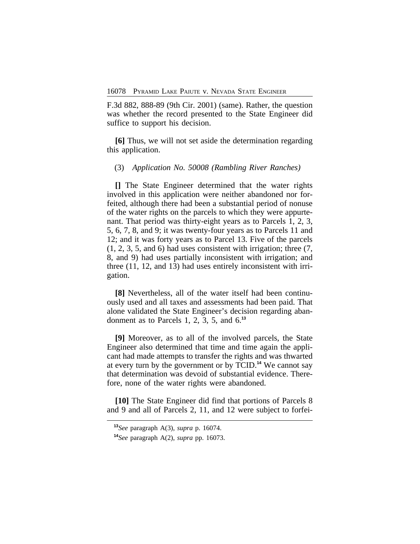F.3d 882, 888-89 (9th Cir. 2001) (same). Rather, the question was whether the record presented to the State Engineer did suffice to support his decision.

**[6]** Thus, we will not set aside the determination regarding this application.

### (3) *Application No. 50008 (Rambling River Ranches)*

**[]** The State Engineer determined that the water rights involved in this application were neither abandoned nor forfeited, although there had been a substantial period of nonuse of the water rights on the parcels to which they were appurtenant. That period was thirty-eight years as to Parcels 1, 2, 3, 5, 6, 7, 8, and 9; it was twenty-four years as to Parcels 11 and 12; and it was forty years as to Parcel 13. Five of the parcels (1, 2, 3, 5, and 6) had uses consistent with irrigation; three (7, 8, and 9) had uses partially inconsistent with irrigation; and three (11, 12, and 13) had uses entirely inconsistent with irrigation.

**[8]** Nevertheless, all of the water itself had been continuously used and all taxes and assessments had been paid. That alone validated the State Engineer's decision regarding abandonment as to Parcels 1, 2, 3, 5, and 6.**<sup>13</sup>**

**[9]** Moreover, as to all of the involved parcels, the State Engineer also determined that time and time again the applicant had made attempts to transfer the rights and was thwarted at every turn by the government or by TCID.**<sup>14</sup>** We cannot say that determination was devoid of substantial evidence. Therefore, none of the water rights were abandoned.

**[10]** The State Engineer did find that portions of Parcels 8 and 9 and all of Parcels 2, 11, and 12 were subject to forfei-

**<sup>13</sup>***See* paragraph A(3), *supra* p. 16074.

**<sup>14</sup>***See* paragraph A(2), *supra* pp. 16073.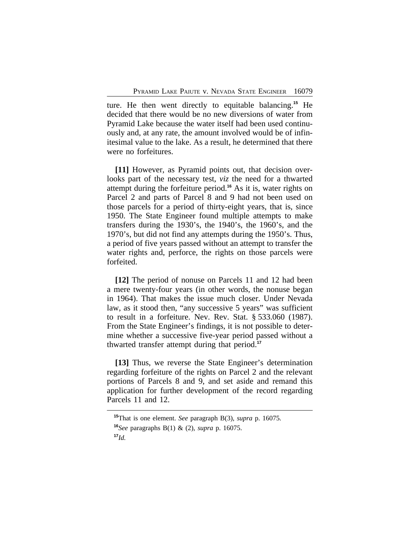ture. He then went directly to equitable balancing.**<sup>15</sup>** He decided that there would be no new diversions of water from Pyramid Lake because the water itself had been used continuously and, at any rate, the amount involved would be of infinitesimal value to the lake. As a result, he determined that there were no forfeitures.

**[11]** However, as Pyramid points out, that decision overlooks part of the necessary test, *viz* the need for a thwarted attempt during the forfeiture period.**<sup>16</sup>** As it is, water rights on Parcel 2 and parts of Parcel 8 and 9 had not been used on those parcels for a period of thirty-eight years, that is, since 1950. The State Engineer found multiple attempts to make transfers during the 1930's, the 1940's, the 1960's, and the 1970's, but did not find any attempts during the 1950's. Thus, a period of five years passed without an attempt to transfer the water rights and, perforce, the rights on those parcels were forfeited.

**[12]** The period of nonuse on Parcels 11 and 12 had been a mere twenty-four years (in other words, the nonuse began in 1964). That makes the issue much closer. Under Nevada law, as it stood then, "any successive 5 years" was sufficient to result in a forfeiture. Nev. Rev. Stat. § 533.060 (1987). From the State Engineer's findings, it is not possible to determine whether a successive five-year period passed without a thwarted transfer attempt during that period.**<sup>17</sup>**

**[13]** Thus, we reverse the State Engineer's determination regarding forfeiture of the rights on Parcel 2 and the relevant portions of Parcels 8 and 9, and set aside and remand this application for further development of the record regarding Parcels 11 and 12.

**<sup>15</sup>**That is one element. *See* paragraph B(3), *supra* p. 16075. **<sup>16</sup>***See* paragraphs B(1) & (2), *supra* p. 16075. **<sup>17</sup>***Id.*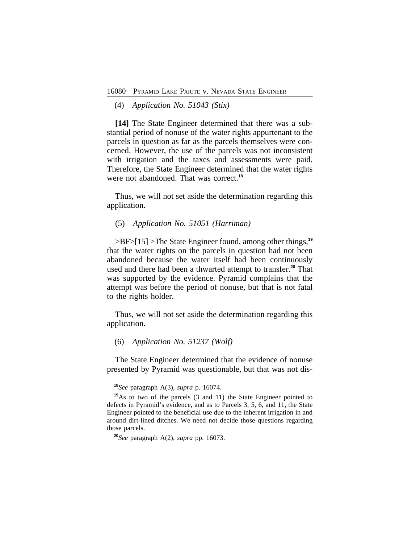(4) *Application No. 51043 (Stix)*

**[14]** The State Engineer determined that there was a substantial period of nonuse of the water rights appurtenant to the parcels in question as far as the parcels themselves were concerned. However, the use of the parcels was not inconsistent with irrigation and the taxes and assessments were paid. Therefore, the State Engineer determined that the water rights were not abandoned. That was correct.**<sup>18</sup>**

Thus, we will not set aside the determination regarding this application.

# (5) *Application No. 51051 (Harriman)*

>BF>[15] >The State Engineer found, among other things,**<sup>19</sup>** that the water rights on the parcels in question had not been abandoned because the water itself had been continuously used and there had been a thwarted attempt to transfer.**<sup>20</sup>** That was supported by the evidence. Pyramid complains that the attempt was before the period of nonuse, but that is not fatal to the rights holder.

Thus, we will not set aside the determination regarding this application.

(6) *Application No. 51237 (Wolf)*

The State Engineer determined that the evidence of nonuse presented by Pyramid was questionable, but that was not dis-

**<sup>18</sup>***See* paragraph A(3), *supra* p. 16074.

**<sup>19</sup>**As to two of the parcels (3 and 11) the State Engineer pointed to defects in Pyramid's evidence, and as to Parcels 3, 5, 6, and 11, the State Engineer pointed to the beneficial use due to the inherent irrigation in and around dirt-lined ditches. We need not decide those questions regarding those parcels.

**<sup>20</sup>***See* paragraph A(2), *supra* pp. 16073.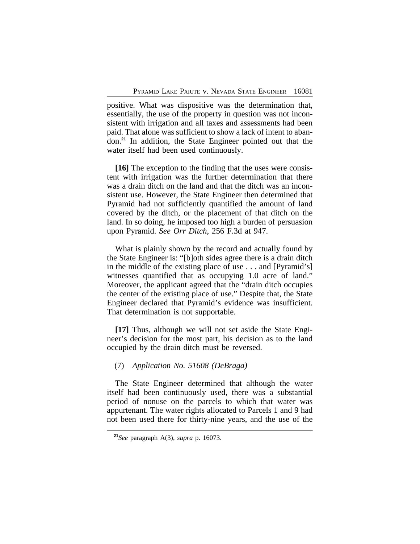positive. What was dispositive was the determination that, essentially, the use of the property in question was not inconsistent with irrigation and all taxes and assessments had been paid. That alone was sufficient to show a lack of intent to abandon.**<sup>21</sup>** In addition, the State Engineer pointed out that the water itself had been used continuously.

**[16]** The exception to the finding that the uses were consistent with irrigation was the further determination that there was a drain ditch on the land and that the ditch was an inconsistent use. However, the State Engineer then determined that Pyramid had not sufficiently quantified the amount of land covered by the ditch, or the placement of that ditch on the land. In so doing, he imposed too high a burden of persuasion upon Pyramid. *See Orr Ditch*, 256 F.3d at 947.

What is plainly shown by the record and actually found by the State Engineer is: "[b]oth sides agree there is a drain ditch in the middle of the existing place of use . . . and [Pyramid's] witnesses quantified that as occupying 1.0 acre of land." Moreover, the applicant agreed that the "drain ditch occupies the center of the existing place of use." Despite that, the State Engineer declared that Pyramid's evidence was insufficient. That determination is not supportable.

**[17]** Thus, although we will not set aside the State Engineer's decision for the most part, his decision as to the land occupied by the drain ditch must be reversed.

# (7) *Application No. 51608 (DeBraga)*

The State Engineer determined that although the water itself had been continuously used, there was a substantial period of nonuse on the parcels to which that water was appurtenant. The water rights allocated to Parcels 1 and 9 had not been used there for thirty-nine years, and the use of the

**<sup>21</sup>***See* paragraph A(3), *supra* p. 16073.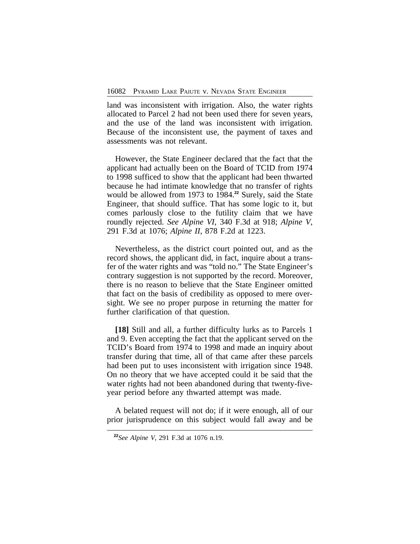land was inconsistent with irrigation. Also, the water rights allocated to Parcel 2 had not been used there for seven years, and the use of the land was inconsistent with irrigation. Because of the inconsistent use, the payment of taxes and assessments was not relevant.

However, the State Engineer declared that the fact that the applicant had actually been on the Board of TCID from 1974 to 1998 sufficed to show that the applicant had been thwarted because he had intimate knowledge that no transfer of rights would be allowed from 1973 to 1984.**<sup>22</sup>** Surely, said the State Engineer, that should suffice. That has some logic to it, but comes parlously close to the futility claim that we have roundly rejected. *See Alpine VI*, 340 F.3d at 918; *Alpine V*, 291 F.3d at 1076; *Alpine II*, 878 F.2d at 1223.

Nevertheless, as the district court pointed out, and as the record shows, the applicant did, in fact, inquire about a transfer of the water rights and was "told no." The State Engineer's contrary suggestion is not supported by the record. Moreover, there is no reason to believe that the State Engineer omitted that fact on the basis of credibility as opposed to mere oversight. We see no proper purpose in returning the matter for further clarification of that question.

**[18]** Still and all, a further difficulty lurks as to Parcels 1 and 9. Even accepting the fact that the applicant served on the TCID's Board from 1974 to 1998 and made an inquiry about transfer during that time, all of that came after these parcels had been put to uses inconsistent with irrigation since 1948. On no theory that we have accepted could it be said that the water rights had not been abandoned during that twenty-fiveyear period before any thwarted attempt was made.

A belated request will not do; if it were enough, all of our prior jurisprudence on this subject would fall away and be

**<sup>22</sup>***See Alpine V*, 291 F.3d at 1076 n.19.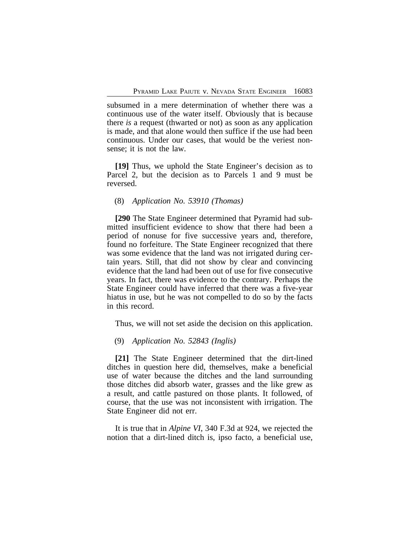subsumed in a mere determination of whether there was a continuous use of the water itself. Obviously that is because there *is* a request (thwarted or not) as soon as any application is made, and that alone would then suffice if the use had been continuous. Under our cases, that would be the veriest nonsense; it is not the law.

**[19]** Thus, we uphold the State Engineer's decision as to Parcel 2, but the decision as to Parcels 1 and 9 must be reversed.

### (8) *Application No. 53910 (Thomas)*

**[290** The State Engineer determined that Pyramid had submitted insufficient evidence to show that there had been a period of nonuse for five successive years and, therefore, found no forfeiture. The State Engineer recognized that there was some evidence that the land was not irrigated during certain years. Still, that did not show by clear and convincing evidence that the land had been out of use for five consecutive years. In fact, there was evidence to the contrary. Perhaps the State Engineer could have inferred that there was a five-year hiatus in use, but he was not compelled to do so by the facts in this record.

Thus, we will not set aside the decision on this application.

## (9) *Application No. 52843 (Inglis)*

**[21]** The State Engineer determined that the dirt-lined ditches in question here did, themselves, make a beneficial use of water because the ditches and the land surrounding those ditches did absorb water, grasses and the like grew as a result, and cattle pastured on those plants. It followed, of course, that the use was not inconsistent with irrigation. The State Engineer did not err.

It is true that in *Alpine VI*, 340 F.3d at 924, we rejected the notion that a dirt-lined ditch is, ipso facto, a beneficial use,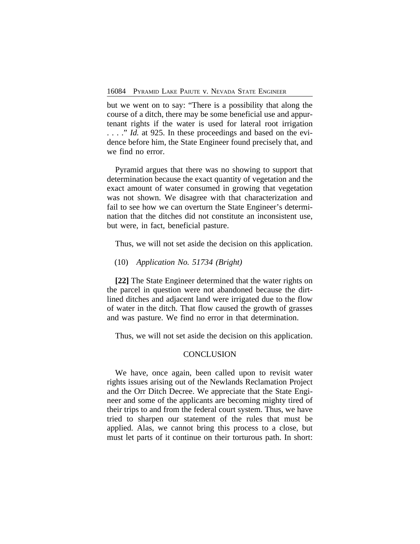but we went on to say: "There is a possibility that along the course of a ditch, there may be some beneficial use and appurtenant rights if the water is used for lateral root irrigation . . . . " *Id.* at 925. In these proceedings and based on the evidence before him, the State Engineer found precisely that, and we find no error.

Pyramid argues that there was no showing to support that determination because the exact quantity of vegetation and the exact amount of water consumed in growing that vegetation was not shown. We disagree with that characterization and fail to see how we can overturn the State Engineer's determination that the ditches did not constitute an inconsistent use, but were, in fact, beneficial pasture.

Thus, we will not set aside the decision on this application.

## (10) *Application No. 51734 (Bright)*

**[22]** The State Engineer determined that the water rights on the parcel in question were not abandoned because the dirtlined ditches and adjacent land were irrigated due to the flow of water in the ditch. That flow caused the growth of grasses and was pasture. We find no error in that determination.

Thus, we will not set aside the decision on this application.

### **CONCLUSION**

We have, once again, been called upon to revisit water rights issues arising out of the Newlands Reclamation Project and the Orr Ditch Decree. We appreciate that the State Engineer and some of the applicants are becoming mighty tired of their trips to and from the federal court system. Thus, we have tried to sharpen our statement of the rules that must be applied. Alas, we cannot bring this process to a close, but must let parts of it continue on their torturous path. In short: